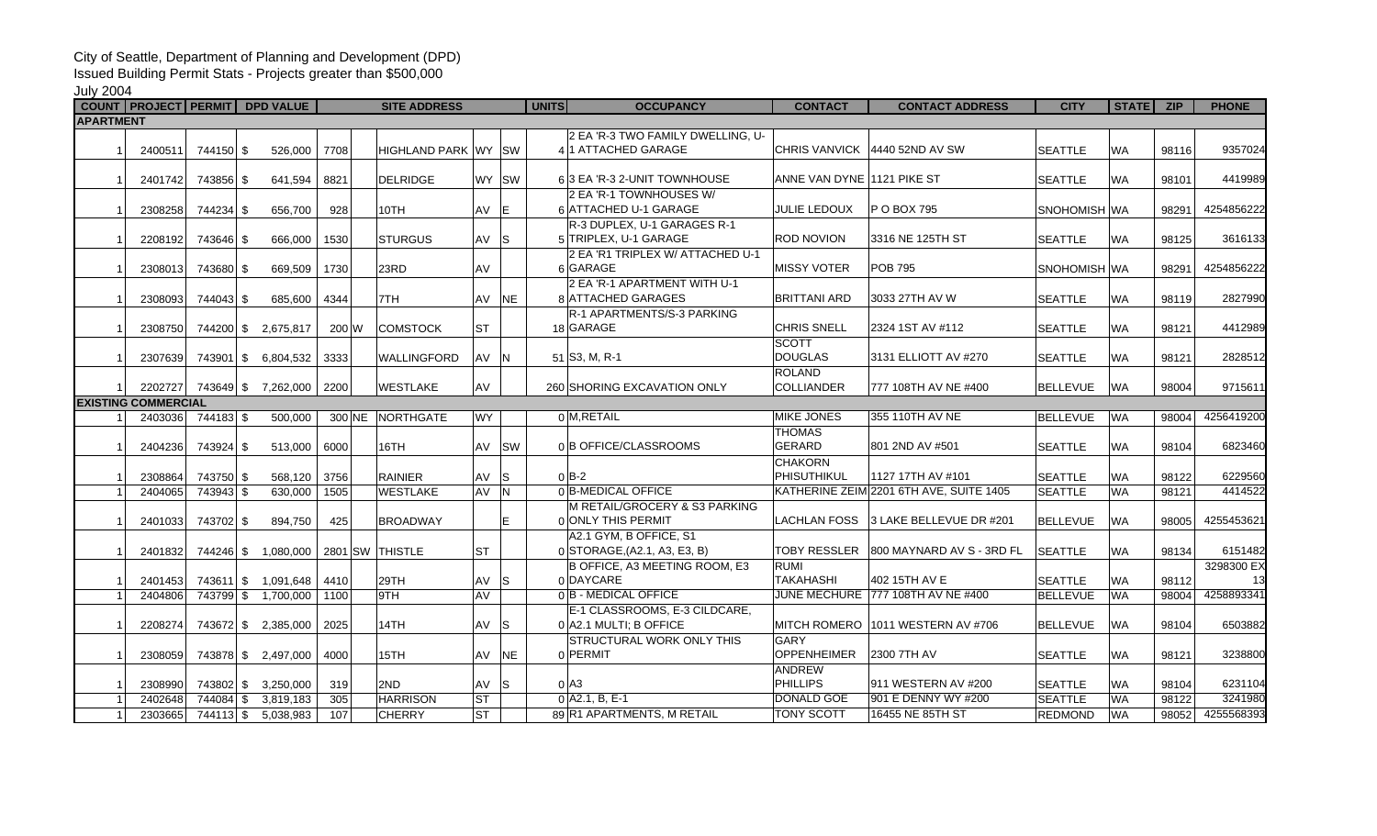## City of Seattle, Department of Planning and Development (DPD)

Issued Building Permit Stats - Projects greater than \$500,000

July 2004

|                  | COUNT   PROJECT   PERMIT   DPD VALUE |                            |         |                 | <b>SITE ADDRESS</b>         |           |           | <b>UNITS</b>     | <b>OCCUPANCY</b>                  | <b>CONTACT</b>             | <b>CONTACT ADDRESS</b>                  | <b>CITY</b>         | STATE ZIP |       | <b>PHONE</b> |
|------------------|--------------------------------------|----------------------------|---------|-----------------|-----------------------------|-----------|-----------|------------------|-----------------------------------|----------------------------|-----------------------------------------|---------------------|-----------|-------|--------------|
| <b>APARTMENT</b> |                                      |                            |         |                 |                             |           |           |                  |                                   |                            |                                         |                     |           |       |              |
|                  |                                      |                            |         |                 |                             |           |           |                  | 2 EA 'R-3 TWO FAMILY DWELLING, U- |                            |                                         |                     |           |       |              |
|                  | 2400511                              | 744150 \$                  | 526.000 | 7708            | <b>HIGHLAND PARK WY ISW</b> |           |           |                  | 411 ATTACHED GARAGE               |                            | CHRIS VANVICK 4440 52ND AV SW           | <b>SEATTLE</b>      | <b>WA</b> | 98116 | 9357024      |
|                  |                                      |                            |         |                 |                             |           |           |                  |                                   |                            |                                         |                     |           |       |              |
|                  | 2401742                              | 743856 \$                  | 641.594 | 8821            | <b>DELRIDGE</b>             | WY ISW    |           |                  | 63 EA 'R-3 2-UNIT TOWNHOUSE       | ANNE VAN DYNE 1121 PIKE ST |                                         | <b>SEATTLE</b>      | <b>WA</b> | 98101 | 4419989      |
|                  |                                      |                            |         |                 |                             |           |           |                  | 2 EA 'R-1 TOWNHOUSES W/           |                            |                                         |                     |           |       |              |
|                  | 2308258                              | 744234 \$                  | 656.700 | 928             | 10TH                        | AV E      |           |                  | 6 ATTACHED U-1 GARAGE             | <b>JULIE LEDOUX</b>        | P O BOX 795                             | <b>SNOHOMISH WA</b> |           | 98291 | 4254856222   |
|                  |                                      |                            |         |                 |                             |           |           |                  | R-3 DUPLEX, U-1 GARAGES R-1       |                            |                                         |                     |           |       |              |
|                  | 2208192                              | 743646 \$                  | 666.000 | 1530            | <b>STURGUS</b>              | AV S      |           |                  | 5 TRIPLEX, U-1 GARAGE             | ROD NOVION                 | 3316 NE 125TH ST                        | <b>SEATTLE</b>      | <b>WA</b> | 98125 | 3616133      |
|                  |                                      |                            |         |                 |                             |           |           |                  | 2 EA 'R1 TRIPLEX W/ ATTACHED U-1  |                            |                                         |                     |           |       |              |
|                  | 2308013                              | 743680 \$                  | 669,509 | 1730            | 23RD                        | AV        |           | 6 GARAGE         |                                   | <b>MISSY VOTER</b>         | <b>POB 795</b>                          | <b>SNOHOMISH WA</b> |           | 98291 | 4254856222   |
|                  |                                      |                            |         |                 |                             |           |           |                  | 2 EA 'R-1 APARTMENT WITH U-1      |                            |                                         |                     |           |       |              |
|                  | 2308093                              | 744043 \$                  | 685,600 | 4344            | 7TH                         | AV        | <b>NE</b> |                  | 8 ATTACHED GARAGES                | <b>BRITTANI ARD</b>        | 3033 27TH AV W                          | <b>SEATTLE</b>      | <b>WA</b> | 98119 | 2827990      |
|                  |                                      |                            |         |                 |                             |           |           |                  | R-1 APARTMENTS/S-3 PARKING        |                            |                                         |                     |           |       |              |
|                  | 2308750                              | 744200 \$ 2,675,817        |         | 200 W           | <b>COMSTOCK</b>             | <b>ST</b> |           | 18 GARAGE        |                                   | <b>CHRIS SNELL</b>         | 2324 1ST AV #112                        | <b>SEATTLE</b>      | <b>WA</b> | 98121 | 4412989      |
|                  |                                      |                            |         |                 |                             |           |           |                  |                                   | <b>SCOTT</b>               |                                         |                     |           |       |              |
|                  | 2307639                              | 743901 \$ 6,804,532        |         | 3333            | <b>WALLINGFORD</b>          | AV N      |           | 51 S3, M, R-1    |                                   | <b>DOUGLAS</b>             | 3131 ELLIOTT AV #270                    | <b>SEATTLE</b>      | WA        | 98121 | 2828512      |
|                  |                                      |                            |         |                 |                             |           |           |                  |                                   | <b>ROLAND</b>              |                                         |                     |           |       |              |
|                  |                                      | 2202727 743649 \$7,262,000 |         | 2200            | <b>WESTLAKE</b>             | AV        |           |                  | 260 SHORING EXCAVATION ONLY       | <b>COLLIANDER</b>          | 777 108TH AV NE #400                    | <b>BELLEVUE</b>     | <b>WA</b> | 98004 | 9715611      |
|                  | <b>EXISTING COMMERCIAL</b>           |                            |         |                 |                             |           |           |                  |                                   |                            |                                         |                     |           |       |              |
|                  | 2403036                              | 744183 \$                  | 500.000 |                 | 300 NE NORTHGATE            | <b>WY</b> |           | 0 M.RETAIL       |                                   | <b>MIKE JONES</b>          | 355 110TH AV NE                         | <b>BELLEVUE</b>     | <b>WA</b> | 98004 | 4256419200   |
|                  |                                      |                            |         |                 |                             |           |           |                  |                                   | <b>THOMAS</b>              |                                         |                     |           |       |              |
|                  | 2404236                              | 743924 \$                  | 513.000 | 6000            | 16TH                        | AV        | <b>SW</b> |                  | 0 B OFFICE/CLASSROOMS             | <b>GERARD</b>              | 801 2ND AV #501                         | <b>SEATTLE</b>      | <b>WA</b> | 98104 | 6823460      |
|                  |                                      |                            |         |                 |                             |           |           |                  |                                   | <b>CHAKORN</b>             |                                         |                     |           |       |              |
|                  | 2308864                              | 743750 \$                  | 568,120 | 3756            | <b>RAINIER</b>              | AV        | ls        | $0$ B-2          |                                   | PHISUTHIKUL                | 1127 17TH AV #101                       | <b>SEATTLE</b>      | <b>WA</b> | 98122 | 6229560      |
|                  | 2404065                              | 743943 \$                  | 630,000 | 1505            | <b>WESTLAKE</b>             | AV N      |           |                  | 0 B-MEDICAL OFFICE                |                            | KATHERINE ZEIM 2201 6TH AVE, SUITE 1405 | <b>SEATTLE</b>      | <b>WA</b> | 98121 | 4414522      |
|                  |                                      |                            |         |                 |                             |           |           |                  | M RETAIL/GROCERY & S3 PARKING     |                            |                                         |                     |           |       |              |
|                  | 2401033                              | 743702 \$                  | 894,750 | 425             | <b>BROADWAY</b>             |           | E.        |                  | 0 ONLY THIS PERMIT                |                            | LACHLAN FOSS 3 LAKE BELLEVUE DR #201    | <b>BELLEVUE</b>     | <b>WA</b> | 98005 | 4255453621   |
|                  |                                      |                            |         |                 |                             |           |           |                  | A2.1 GYM, B OFFICE, S1            |                            |                                         |                     |           |       |              |
|                  | 2401832                              | 744246 \$1.080.000         |         | 2801 SW THISTLE |                             | <b>ST</b> |           |                  | 0 STORAGE, (A2.1, A3, E3, B)      |                            | TOBY RESSLER 800 MAYNARD AV S - 3RD FL  | <b>SEATTLE</b>      | <b>WA</b> | 98134 | 6151482      |
|                  |                                      |                            |         |                 |                             |           |           |                  | B OFFICE, A3 MEETING ROOM, E3     | <b>RUMI</b>                |                                         |                     |           |       | 3298300 EX   |
|                  | 2401453                              | 743611 \$ 1,091,648        |         | 4410            | 29TH                        | AV        | l S       | 0 DAYCARE        |                                   | <b>TAKAHASHI</b>           | 402 15TH AV E                           | <b>SEATTLE</b>      | <b>WA</b> | 98112 | 13           |
|                  | 2404806                              | 743799 \$ 1,700,000        |         | 1100            | 9TH                         | AV        |           |                  | 0B - MEDICAL OFFICE               |                            | JUNE MECHURE 777 108TH AV NE #400       | <b>BELLEVUE</b>     | <b>WA</b> | 98004 | 4258893341   |
|                  |                                      |                            |         |                 |                             |           |           |                  | E-1 CLASSROOMS, E-3 CILDCARE,     |                            |                                         |                     |           |       |              |
|                  | 2208274                              | 743672 \$ 2,385,000        |         | 2025            | 14TH                        | AV S      |           |                  | 0 A2.1 MULTI; B OFFICE            |                            | MITCH ROMERO 1011 WESTERN AV #706       | <b>BELLEVUE</b>     | <b>WA</b> | 98104 | 6503882      |
|                  |                                      |                            |         |                 |                             |           |           |                  | STRUCTURAL WORK ONLY THIS         | GARY                       |                                         |                     |           |       |              |
|                  | 2308059                              | 743878 \$2,497,000         |         | 4000            | 15TH                        | AV        | <b>NE</b> | 0 PERMIT         |                                   | <b>OPPENHEIMER</b>         | 2300 7TH AV                             | <b>SEATTLE</b>      | <b>WA</b> | 98121 | 3238800      |
|                  |                                      |                            |         |                 |                             |           |           |                  |                                   | <b>ANDREW</b>              |                                         |                     |           |       |              |
|                  | 2308990                              | 743802 \$ 3,250,000        |         | 319             | 2ND                         | AV        | ls        | $02$ A3          |                                   | <b>PHILLIPS</b>            | 911 WESTERN AV #200                     | <b>SEATTLE</b>      | <b>WA</b> | 98104 | 6231104      |
|                  | 2402648                              | 744084 \$ 3,819,183        |         | 305             | <b>HARRISON</b>             | <b>ST</b> |           | $0$ A2.1, B, E-1 |                                   | <b>DONALD GOE</b>          | 901 E DENNY WY #200                     | <b>SEATTLE</b>      | <b>WA</b> | 98122 | 3241980      |
|                  | 2303665                              | 744113 \$ 5,038,983        |         | 107             | <b>CHERRY</b>               | ST        |           |                  | 89 R1 APARTMENTS, M RETAIL        | <b>TONY SCOTT</b>          | 16455 NE 85TH ST                        | <b>REDMOND</b>      | <b>WA</b> | 98052 | 4255568393   |